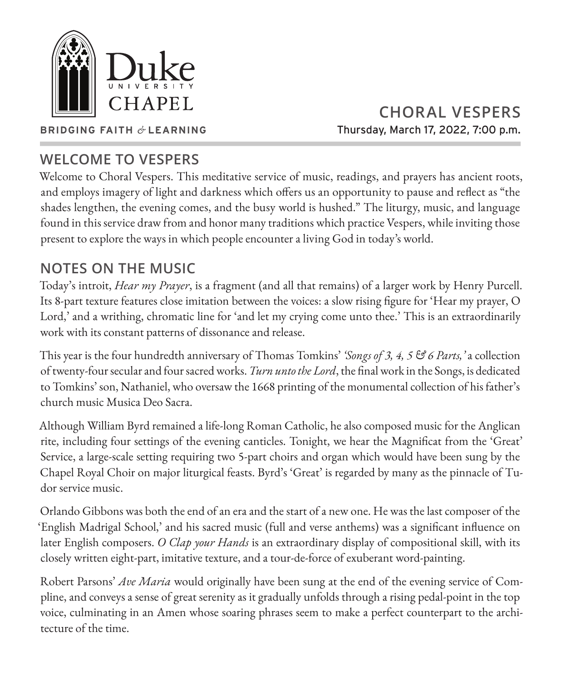

**CHORAL VESPERS** Thursday, March 17, 2022, 7:00 p.m.

#### **BRIDGING FAITH** *&* **LEARNING**

# **WELCOME TO VESPERS**

Welcome to Choral Vespers. This meditative service of music, readings, and prayers has ancient roots, and employs imagery of light and darkness which offers us an opportunity to pause and reflect as "the shades lengthen, the evening comes, and the busy world is hushed." The liturgy, music, and language found in this service draw from and honor many traditions which practice Vespers, while inviting those present to explore the ways in which people encounter a living God in today's world.

# **NOTES ON THE MUSIC**

Today's introit, *Hear my Prayer*, is a fragment (and all that remains) of a larger work by Henry Purcell. Its 8-part texture features close imitation between the voices: a slow rising figure for 'Hear my prayer, O Lord,' and a writhing, chromatic line for 'and let my crying come unto thee.' This is an extraordinarily work with its constant patterns of dissonance and release.

This year is the four hundredth anniversary of Thomas Tomkins' *'Songs of 3, 4, 5 & 6 Parts,'* a collection of twenty-four secular and four sacred works. *Turn unto the Lord*, the final work in the Songs, is dedicated to Tomkins' son, Nathaniel, who oversaw the 1668 printing of the monumental collection of his father's church music Musica Deo Sacra.

Although William Byrd remained a life-long Roman Catholic, he also composed music for the Anglican rite, including four settings of the evening canticles. Tonight, we hear the Magnificat from the 'Great' Service, a large-scale setting requiring two 5-part choirs and organ which would have been sung by the Chapel Royal Choir on major liturgical feasts. Byrd's 'Great' is regarded by many as the pinnacle of Tudor service music.

Orlando Gibbons was both the end of an era and the start of a new one. He was the last composer of the 'English Madrigal School,' and his sacred music (full and verse anthems) was a significant influence on later English composers. *O Clap your Hands* is an extraordinary display of compositional skill, with its closely written eight-part, imitative texture, and a tour-de-force of exuberant word-painting.

Robert Parsons' *Ave Maria* would originally have been sung at the end of the evening service of Compline, and conveys a sense of great serenity as it gradually unfolds through a rising pedal-point in the top voice, culminating in an Amen whose soaring phrases seem to make a perfect counterpart to the architecture of the time.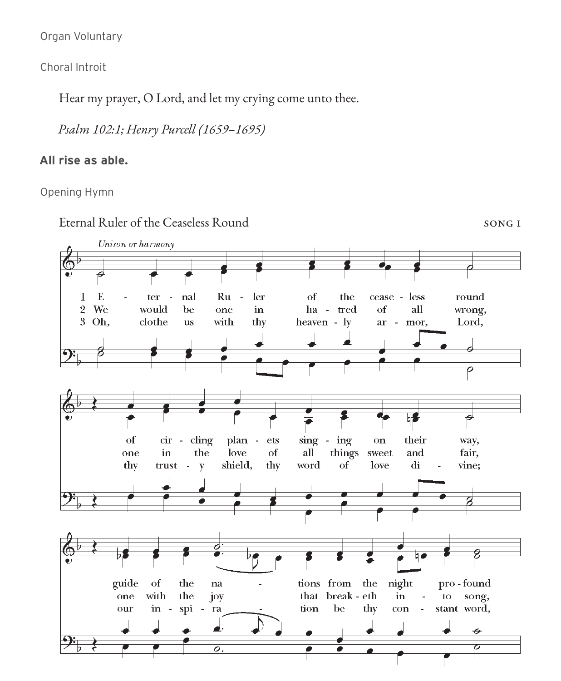Organ Voluntary

Choral Introit

Hear my prayer, O Lord, and let my crying come unto thee.

*Psalm 102:1; Henry Purcell (1659–1695)*

## **All rise as able.**

Opening Hymn

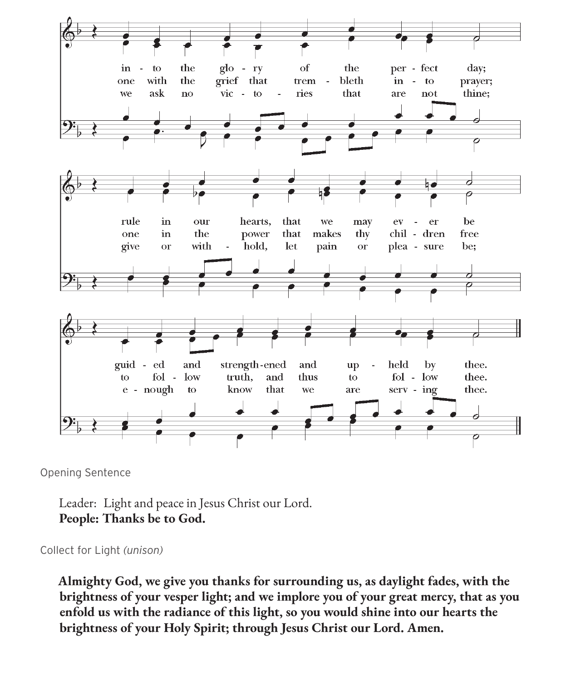

Opening Sentence

Leader: Light and peace in Jesus Christ our Lord. **People: Thanks be to God.**

Collect for Light *(unison)*

**Almighty God, we give you thanks for surrounding us, as daylight fades, with the brightness of your vesper light; and we implore you of your great mercy, that as you enfold us with the radiance of this light, so you would shine into our hearts the brightness of your Holy Spirit; through Jesus Christ our Lord. Amen.**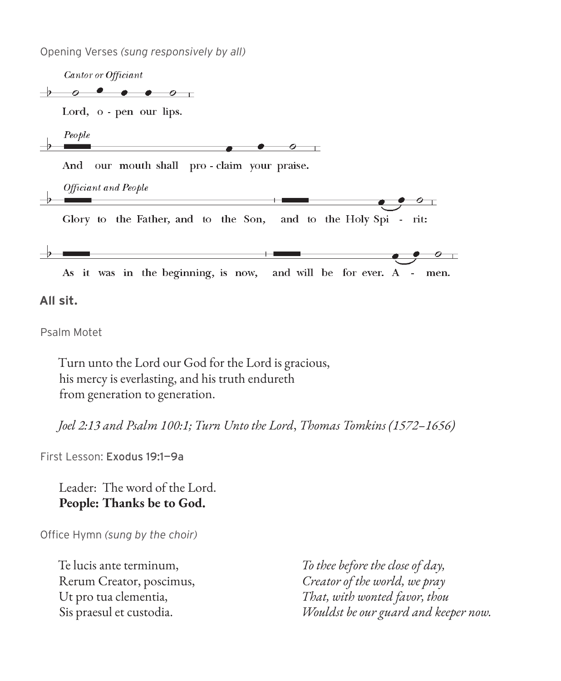Opening Verses *(sung responsively by all)*



Turn unto the Lord our God for the Lord is gracious, his mercy is everlasting, and his truth endureth from generation to generation.

*Joel 2:13 and Psalm 100:1; Turn Unto the Lord*, *Thomas Tomkins (1572–1656)*

First Lesson: Exodus 19:1—9a

Leader: The word of the Lord. **People: Thanks be to God.**

Office Hymn *(sung by the choir)*

Te lucis ante terminum, Rerum Creator, poscimus, Ut pro tua clementia, Sis praesul et custodia.

*To thee before the close of day, Creator of the world, we pray That, with wonted favor, thou Wouldst be our guard and keeper now.*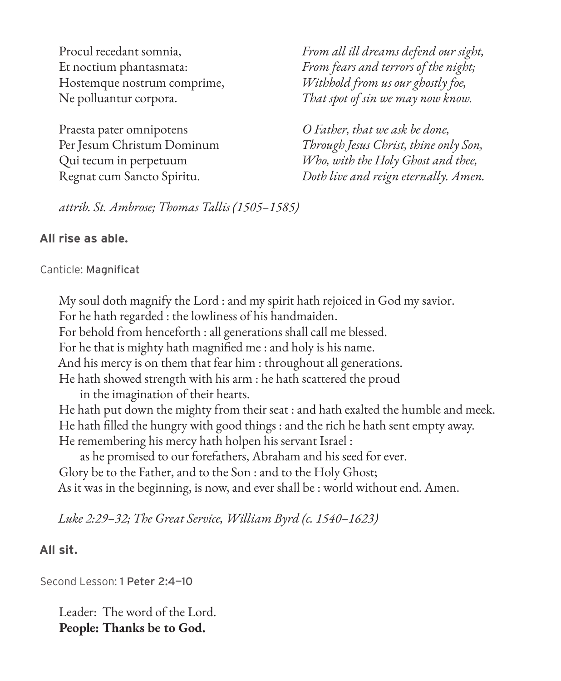Procul recedant somnia, Et noctium phantasmata: Hostemque nostrum comprime, Ne polluantur corpora.

Praesta pater omnipotens Per Jesum Christum Dominum Qui tecum in perpetuum Regnat cum Sancto Spiritu.

*From all ill dreams defend our sight, From fears and terrors of the night; Withhold from us our ghostly foe, That spot of sin we may now know.*

*O Father, that we ask be done, Through Jesus Christ, thine only Son, Who, with the Holy Ghost and thee, Doth live and reign eternally. Amen.*

*attrib. St. Ambrose; Thomas Tallis (1505–1585)*

#### **All rise as able.**

#### Canticle: Magnificat

My soul doth magnify the Lord : and my spirit hath rejoiced in God my savior. For he hath regarded : the lowliness of his handmaiden. For behold from henceforth : all generations shall call me blessed. For he that is mighty hath magnified me : and holy is his name. And his mercy is on them that fear him : throughout all generations. He hath showed strength with his arm : he hath scattered the proud in the imagination of their hearts. He hath put down the mighty from their seat : and hath exalted the humble and meek. He hath filled the hungry with good things : and the rich he hath sent empty away. He remembering his mercy hath holpen his servant Israel : as he promised to our forefathers, Abraham and his seed for ever. Glory be to the Father, and to the Son : and to the Holy Ghost; As it was in the beginning, is now, and ever shall be : world without end. Amen.

*Luke 2:29–32; The Great Service, William Byrd (c. 1540–1623)*

#### **All sit.**

Second Lesson: 1 Peter 2:4—10

Leader: The word of the Lord. **People: Thanks be to God.**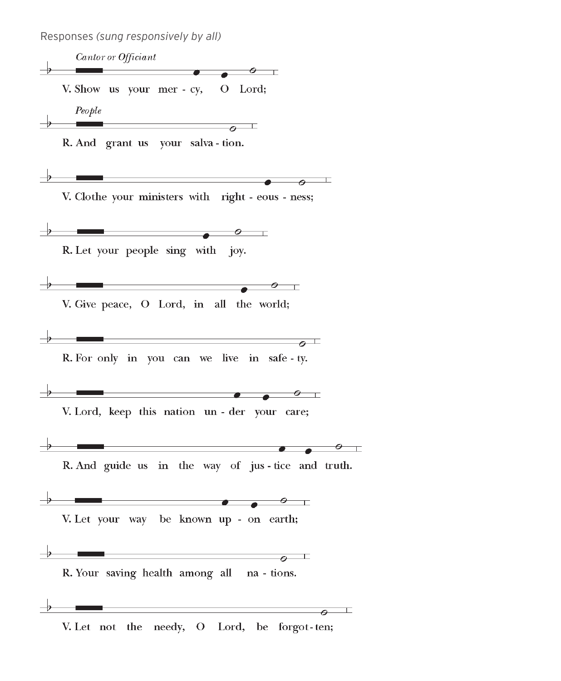Responses *(sung responsively by all)*

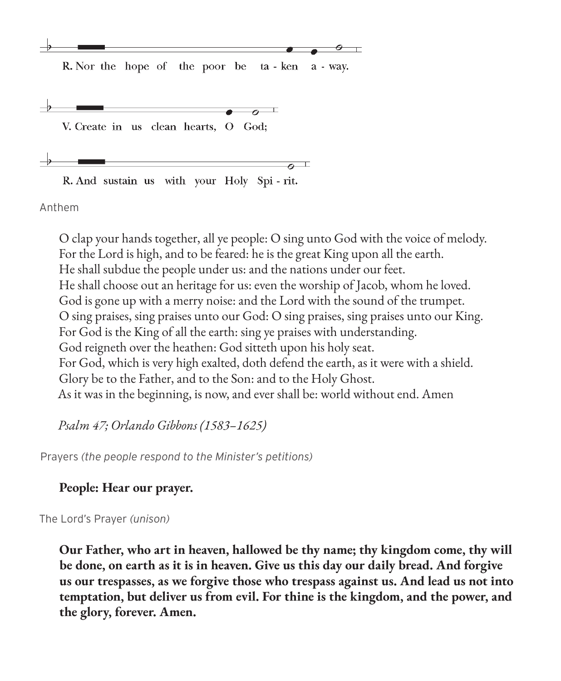

R. Nor the hope of the poor be ta - ken a - way.



R. And sustain us with your Holy Spi - rit.

Anthem

O clap your hands together, all ye people: O sing unto God with the voice of melody. For the Lord is high, and to be feared: he is the great King upon all the earth. He shall subdue the people under us: and the nations under our feet. He shall choose out an heritage for us: even the worship of Jacob, whom he loved. God is gone up with a merry noise: and the Lord with the sound of the trumpet. O sing praises, sing praises unto our God: O sing praises, sing praises unto our King. For God is the King of all the earth: sing ye praises with understanding. God reigneth over the heathen: God sitteth upon his holy seat. For God, which is very high exalted, doth defend the earth, as it were with a shield. Glory be to the Father, and to the Son: and to the Holy Ghost. As it was in the beginning, is now, and ever shall be: world without end. Amen

 $\overline{o}$   $\top$ 

*Psalm 47; Orlando Gibbons (1583–1625)*

Prayers *(the people respond to the Minister's petitions)*

## **People: Hear our prayer.**

The Lord's Prayer *(unison)*

**Our Father, who art in heaven, hallowed be thy name; thy kingdom come, thy will be done, on earth as it is in heaven. Give us this day our daily bread. And forgive us our trespasses, as we forgive those who trespass against us. And lead us not into temptation, but deliver us from evil. For thine is the kingdom, and the power, and the glory, forever. Amen.**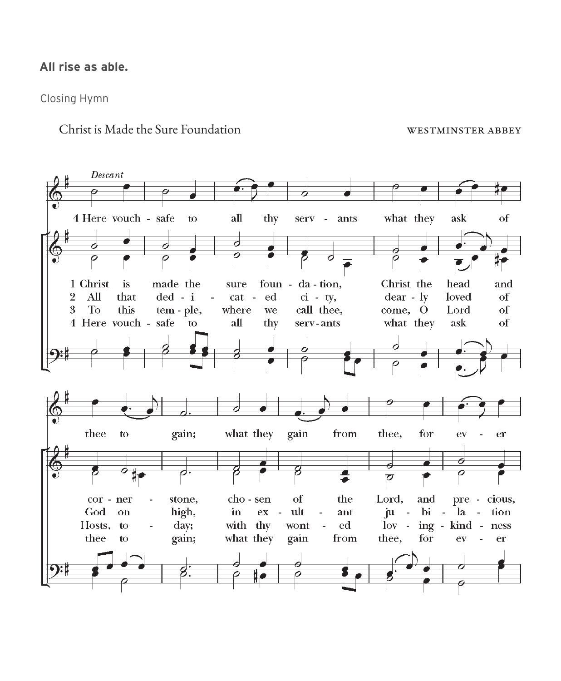#### **All rise as able.**

Closing Hymn

Christ is Made the Sure Foundation westminster abbey

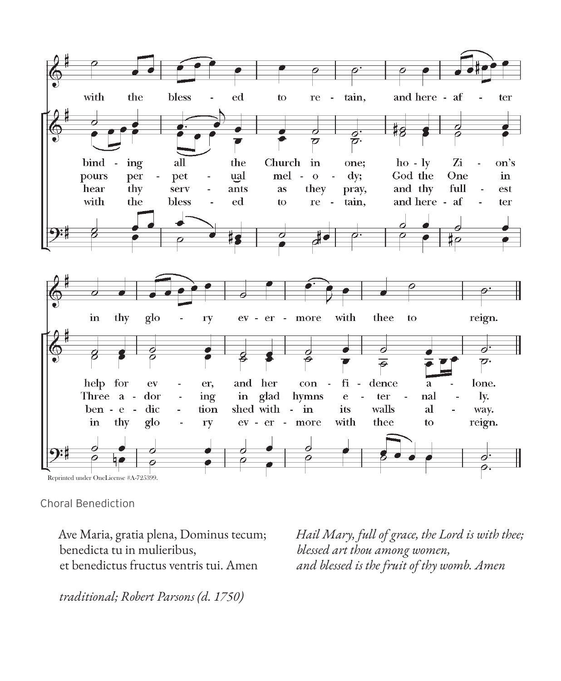

Choral Benediction

Ave Maria, gratia plena, Dominus tecum; benedicta tu in mulieribus, et benedictus fructus ventris tui. Amen

*Hail Mary, full of grace, the Lord is with thee; blessed art thou among women, and blessed is the fruit of thy womb. Amen*

*traditional; Robert Parsons (d. 1750)*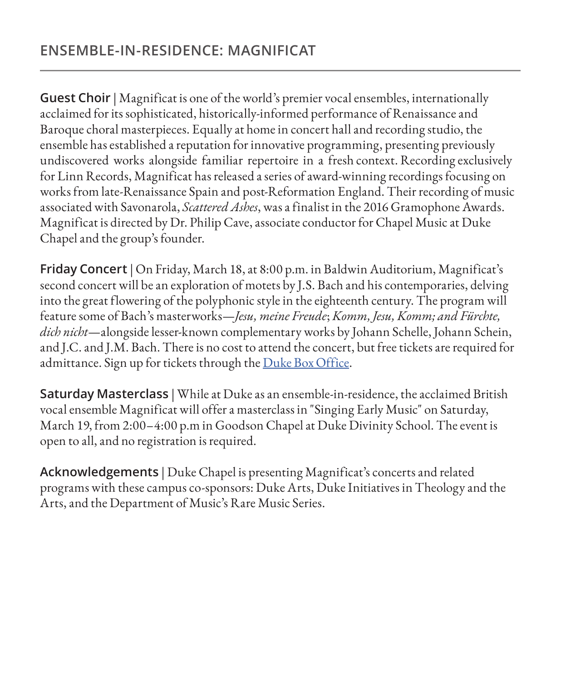**Guest Choir** | Magnificat is one of the world's premier vocal ensembles, internationally acclaimed for its sophisticated, historically-informed performance of Renaissance and Baroque choral masterpieces. Equally at home in concert hall and recording studio, the ensemble has established a reputation for innovative programming, presenting previously undiscovered works alongside familiar repertoire in a fresh context. Recording exclusively for Linn Records, Magnificat has released a series of award-winning recordings focusing on works from late-Renaissance Spain and post-Reformation England. Their recording of music associated with Savonarola, *Scattered Ashes*, was a finalist in the 2016 Gramophone Awards. Magnificat is directed by Dr. Philip Cave, associate conductor for Chapel Music at Duke Chapel and the group's founder.

**Friday Concert** | On Friday, March 18, at 8:00 p.m. in Baldwin Auditorium, Magnificat's second concert will be an exploration of motets by J.S. Bach and his contemporaries, delving into the great flowering of the polyphonic style in the eighteenth century. The program will feature some of Bach's masterworks—*Jesu, meine Freude*; *Komm, Jesu, Komm; and Fürchte, dich nicht*—alongside lesser-known complementary works by Johann Schelle, Johann Schein, and J.C. and J.M. Bach. There is no cost to attend the concert, but free tickets are required for admittance. Sign up for tickets through the [Duke Box Office](https://tickets.duke.edu/Online/default.asp?BOparam::WScontent::loadArticle::permalink=magnificat22&BOparam::WScontent::loadArticle::context_id=).

**Saturday Masterclass** | While at Duke as an ensemble-in-residence, the acclaimed British vocal ensemble Magnificat will offer a masterclass in "Singing Early Music" on Saturday, March 19, from 2:00–4:00 p.m in Goodson Chapel at Duke Divinity School. The event is open to all, and no registration is required.

**Acknowledgements** | Duke Chapel is presenting Magnificat's concerts and related programs with these campus co-sponsors: Duke Arts, Duke Initiatives in Theology and the Arts, and the Department of Music's Rare Music Series.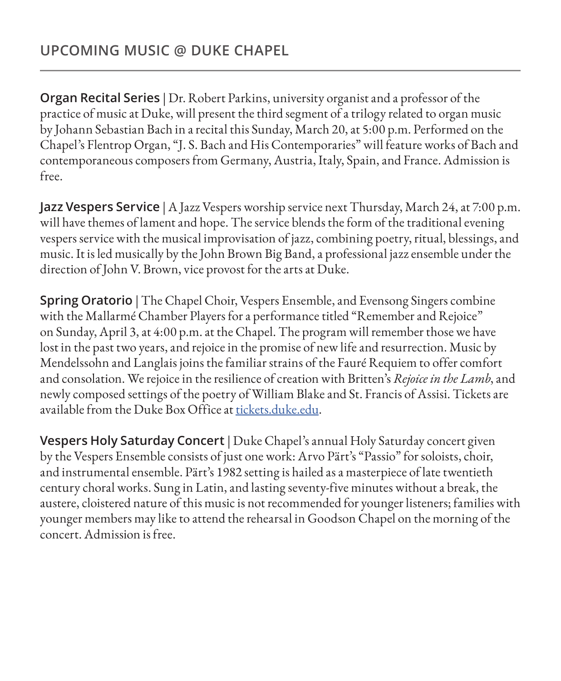**Organ Recital Series** | Dr. Robert Parkins, university organist and a professor of the practice of music at Duke, will present the third segment of a trilogy related to organ music by Johann Sebastian Bach in a recital this Sunday, March 20, at 5:00 p.m. Performed on the Chapel's Flentrop Organ, "J. S. Bach and His Contemporaries" will feature works of Bach and contemporaneous composers from Germany, Austria, Italy, Spain, and France. Admission is free.

**Jazz Vespers Service** | A Jazz Vespers worship service next Thursday, March 24, at 7:00 p.m. will have themes of lament and hope. The service blends the form of the traditional evening vespers service with the musical improvisation of jazz, combining poetry, ritual, blessings, and music. It is led musically by the John Brown Big Band, a professional jazz ensemble under the direction of John V. Brown, vice provost for the arts at Duke.

**Spring Oratorio** | The Chapel Choir, Vespers Ensemble, and Evensong Singers combine with the Mallarmé Chamber Players for a performance titled "Remember and Rejoice" on Sunday, April 3, at 4:00 p.m. at the Chapel. The program will remember those we have lost in the past two years, and rejoice in the promise of new life and resurrection. Music by Mendelssohn and Langlais joins the familiar strains of the Fauré Requiem to offer comfort and consolation. We rejoice in the resilience of creation with Britten's *Rejoice in the Lamb*, and newly composed settings of the poetry of William Blake and St. Francis of Assisi. Tickets are available from the Duke Box Office at tickets.duke.edu.

**Vespers Holy Saturday Concert** | Duke Chapel's annual Holy Saturday concert given by the Vespers Ensemble consists of just one work: Arvo Pärt's "Passio" for soloists, choir, and instrumental ensemble. Pärt's 1982 setting is hailed as a masterpiece of late twentieth century choral works. Sung in Latin, and lasting seventy-five minutes without a break, the austere, cloistered nature of this music is not recommended for younger listeners; families with younger members may like to attend the rehearsal in Goodson Chapel on the morning of the concert. Admission is free.